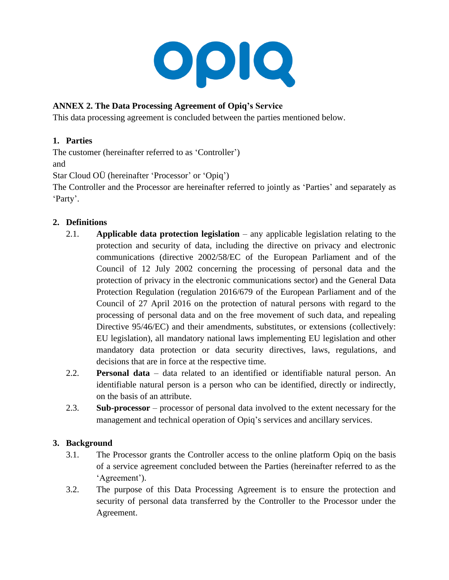

# **ANNEX 2. The Data Processing Agreement of Opiq's Service**

This data processing agreement is concluded between the parties mentioned below.

## **1. Parties**

The customer (hereinafter referred to as 'Controller') and

Star Cloud OÜ (hereinafter 'Processor' or 'Opiq')

The Controller and the Processor are hereinafter referred to jointly as 'Parties' and separately as 'Party'.

### **2. Definitions**

- 2.1. **Applicable data protection legislation** any applicable legislation relating to the protection and security of data, including the directive on privacy and electronic communications (directive 2002/58/EC of the European Parliament and of the Council of 12 July 2002 concerning the processing of personal data and the protection of privacy in the electronic communications sector) and the General Data Protection Regulation (regulation 2016/679 of the European Parliament and of the Council of 27 April 2016 on the protection of natural persons with regard to the processing of personal data and on the free movement of such data, and repealing Directive 95/46/EC) and their amendments, substitutes, or extensions (collectively: EU legislation), all mandatory national laws implementing EU legislation and other mandatory data protection or data security directives, laws, regulations, and decisions that are in force at the respective time.
- 2.2. **Personal data** data related to an identified or identifiable natural person. An identifiable natural person is a person who can be identified, directly or indirectly, on the basis of an attribute.
- 2.3. **Sub-processor** processor of personal data involved to the extent necessary for the management and technical operation of Opiq's services and ancillary services.

## **3. Background**

- 3.1. The Processor grants the Controller access to the online platform Opiq on the basis of a service agreement concluded between the Parties (hereinafter referred to as the 'Agreement').
- 3.2. The purpose of this Data Processing Agreement is to ensure the protection and security of personal data transferred by the Controller to the Processor under the Agreement.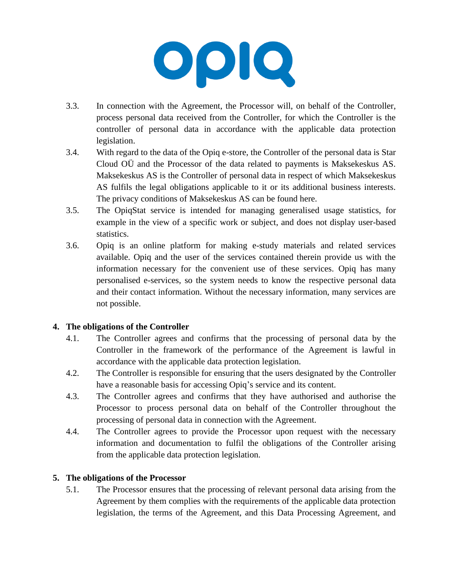

- 3.3. In connection with the Agreement, the Processor will, on behalf of the Controller, process personal data received from the Controller, for which the Controller is the controller of personal data in accordance with the applicable data protection legislation.
- 3.4. With regard to the data of the Opiq e-store, the Controller of the personal data is Star Cloud OÜ and the Processor of the data related to payments is Maksekeskus AS. Maksekeskus AS is the Controller of personal data in respect of which Maksekeskus AS fulfils the legal obligations applicable to it or its additional business interests. The privacy conditions of Maksekeskus AS can be found here.
- 3.5. The OpiqStat service is intended for managing generalised usage statistics, for example in the view of a specific work or subject, and does not display user-based statistics.
- 3.6. Opiq is an online platform for making e-study materials and related services available. Opiq and the user of the services contained therein provide us with the information necessary for the convenient use of these services. Opiq has many personalised e-services, so the system needs to know the respective personal data and their contact information. Without the necessary information, many services are not possible.

#### **4. The obligations of the Controller**

- 4.1. The Controller agrees and confirms that the processing of personal data by the Controller in the framework of the performance of the Agreement is lawful in accordance with the applicable data protection legislation.
- 4.2. The Controller is responsible for ensuring that the users designated by the Controller have a reasonable basis for accessing Opiq's service and its content.
- 4.3. The Controller agrees and confirms that they have authorised and authorise the Processor to process personal data on behalf of the Controller throughout the processing of personal data in connection with the Agreement.
- 4.4. The Controller agrees to provide the Processor upon request with the necessary information and documentation to fulfil the obligations of the Controller arising from the applicable data protection legislation.

## **5. The obligations of the Processor**

5.1. The Processor ensures that the processing of relevant personal data arising from the Agreement by them complies with the requirements of the applicable data protection legislation, the terms of the Agreement, and this Data Processing Agreement, and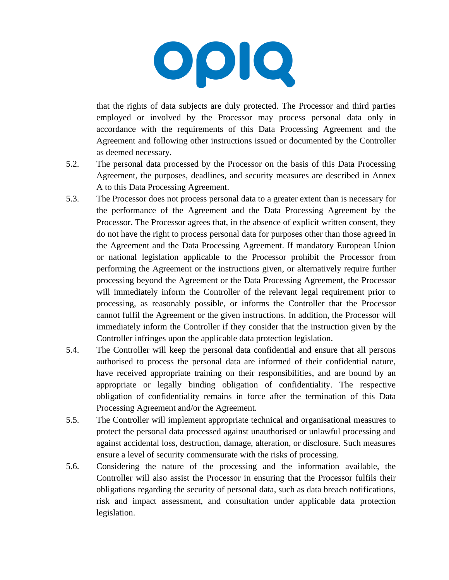

that the rights of data subjects are duly protected. The Processor and third parties employed or involved by the Processor may process personal data only in accordance with the requirements of this Data Processing Agreement and the Agreement and following other instructions issued or documented by the Controller as deemed necessary.

- 5.2. The personal data processed by the Processor on the basis of this Data Processing Agreement, the purposes, deadlines, and security measures are described in Annex A to this Data Processing Agreement.
- 5.3. The Processor does not process personal data to a greater extent than is necessary for the performance of the Agreement and the Data Processing Agreement by the Processor. The Processor agrees that, in the absence of explicit written consent, they do not have the right to process personal data for purposes other than those agreed in the Agreement and the Data Processing Agreement. If mandatory European Union or national legislation applicable to the Processor prohibit the Processor from performing the Agreement or the instructions given, or alternatively require further processing beyond the Agreement or the Data Processing Agreement, the Processor will immediately inform the Controller of the relevant legal requirement prior to processing, as reasonably possible, or informs the Controller that the Processor cannot fulfil the Agreement or the given instructions. In addition, the Processor will immediately inform the Controller if they consider that the instruction given by the Controller infringes upon the applicable data protection legislation.
- 5.4. The Controller will keep the personal data confidential and ensure that all persons authorised to process the personal data are informed of their confidential nature, have received appropriate training on their responsibilities, and are bound by an appropriate or legally binding obligation of confidentiality. The respective obligation of confidentiality remains in force after the termination of this Data Processing Agreement and/or the Agreement.
- 5.5. The Controller will implement appropriate technical and organisational measures to protect the personal data processed against unauthorised or unlawful processing and against accidental loss, destruction, damage, alteration, or disclosure. Such measures ensure a level of security commensurate with the risks of processing.
- 5.6. Considering the nature of the processing and the information available, the Controller will also assist the Processor in ensuring that the Processor fulfils their obligations regarding the security of personal data, such as data breach notifications, risk and impact assessment, and consultation under applicable data protection legislation.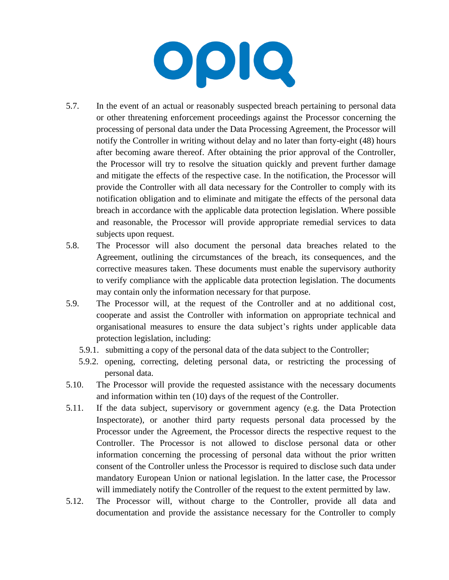

- 5.7. In the event of an actual or reasonably suspected breach pertaining to personal data or other threatening enforcement proceedings against the Processor concerning the processing of personal data under the Data Processing Agreement, the Processor will notify the Controller in writing without delay and no later than forty-eight (48) hours after becoming aware thereof. After obtaining the prior approval of the Controller, the Processor will try to resolve the situation quickly and prevent further damage and mitigate the effects of the respective case. In the notification, the Processor will provide the Controller with all data necessary for the Controller to comply with its notification obligation and to eliminate and mitigate the effects of the personal data breach in accordance with the applicable data protection legislation. Where possible and reasonable, the Processor will provide appropriate remedial services to data subjects upon request.
- 5.8. The Processor will also document the personal data breaches related to the Agreement, outlining the circumstances of the breach, its consequences, and the corrective measures taken. These documents must enable the supervisory authority to verify compliance with the applicable data protection legislation. The documents may contain only the information necessary for that purpose.
- 5.9. The Processor will, at the request of the Controller and at no additional cost, cooperate and assist the Controller with information on appropriate technical and organisational measures to ensure the data subject's rights under applicable data protection legislation, including:
	- 5.9.1. submitting a copy of the personal data of the data subject to the Controller;
	- 5.9.2. opening, correcting, deleting personal data, or restricting the processing of personal data.
- 5.10. The Processor will provide the requested assistance with the necessary documents and information within ten (10) days of the request of the Controller.
- 5.11. If the data subject, supervisory or government agency (e.g. the Data Protection Inspectorate), or another third party requests personal data processed by the Processor under the Agreement, the Processor directs the respective request to the Controller. The Processor is not allowed to disclose personal data or other information concerning the processing of personal data without the prior written consent of the Controller unless the Processor is required to disclose such data under mandatory European Union or national legislation. In the latter case, the Processor will immediately notify the Controller of the request to the extent permitted by law.
- 5.12. The Processor will, without charge to the Controller, provide all data and documentation and provide the assistance necessary for the Controller to comply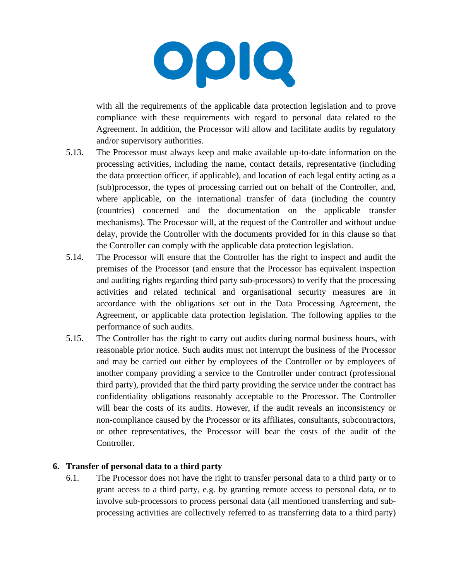

with all the requirements of the applicable data protection legislation and to prove compliance with these requirements with regard to personal data related to the Agreement. In addition, the Processor will allow and facilitate audits by regulatory and/or supervisory authorities.

- 5.13. The Processor must always keep and make available up-to-date information on the processing activities, including the name, contact details, representative (including the data protection officer, if applicable), and location of each legal entity acting as a (sub)processor, the types of processing carried out on behalf of the Controller, and, where applicable, on the international transfer of data (including the country (countries) concerned and the documentation on the applicable transfer mechanisms). The Processor will, at the request of the Controller and without undue delay, provide the Controller with the documents provided for in this clause so that the Controller can comply with the applicable data protection legislation.
- 5.14. The Processor will ensure that the Controller has the right to inspect and audit the premises of the Processor (and ensure that the Processor has equivalent inspection and auditing rights regarding third party sub-processors) to verify that the processing activities and related technical and organisational security measures are in accordance with the obligations set out in the Data Processing Agreement, the Agreement, or applicable data protection legislation. The following applies to the performance of such audits.
- 5.15. The Controller has the right to carry out audits during normal business hours, with reasonable prior notice. Such audits must not interrupt the business of the Processor and may be carried out either by employees of the Controller or by employees of another company providing a service to the Controller under contract (professional third party), provided that the third party providing the service under the contract has confidentiality obligations reasonably acceptable to the Processor. The Controller will bear the costs of its audits. However, if the audit reveals an inconsistency or non-compliance caused by the Processor or its affiliates, consultants, subcontractors, or other representatives, the Processor will bear the costs of the audit of the Controller.

#### **6. Transfer of personal data to a third party**

6.1. The Processor does not have the right to transfer personal data to a third party or to grant access to a third party, e.g. by granting remote access to personal data, or to involve sub-processors to process personal data (all mentioned transferring and subprocessing activities are collectively referred to as transferring data to a third party)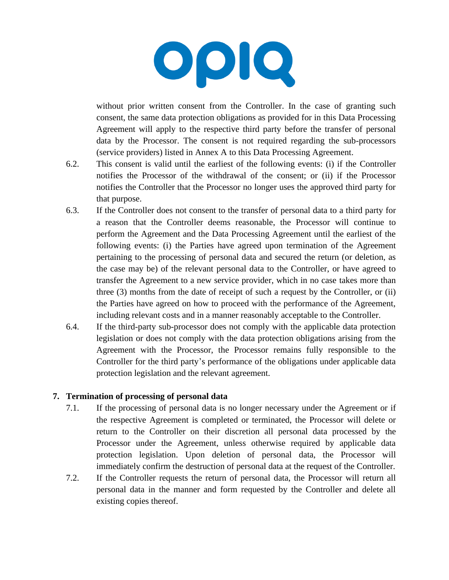

without prior written consent from the Controller. In the case of granting such consent, the same data protection obligations as provided for in this Data Processing Agreement will apply to the respective third party before the transfer of personal data by the Processor. The consent is not required regarding the sub-processors (service providers) listed in Annex A to this Data Processing Agreement.

- 6.2. This consent is valid until the earliest of the following events: (i) if the Controller notifies the Processor of the withdrawal of the consent; or (ii) if the Processor notifies the Controller that the Processor no longer uses the approved third party for that purpose.
- 6.3. If the Controller does not consent to the transfer of personal data to a third party for a reason that the Controller deems reasonable, the Processor will continue to perform the Agreement and the Data Processing Agreement until the earliest of the following events: (i) the Parties have agreed upon termination of the Agreement pertaining to the processing of personal data and secured the return (or deletion, as the case may be) of the relevant personal data to the Controller, or have agreed to transfer the Agreement to a new service provider, which in no case takes more than three (3) months from the date of receipt of such a request by the Controller, or (ii) the Parties have agreed on how to proceed with the performance of the Agreement, including relevant costs and in a manner reasonably acceptable to the Controller.
- 6.4. If the third-party sub-processor does not comply with the applicable data protection legislation or does not comply with the data protection obligations arising from the Agreement with the Processor, the Processor remains fully responsible to the Controller for the third party's performance of the obligations under applicable data protection legislation and the relevant agreement.

#### **7. Termination of processing of personal data**

- 7.1. If the processing of personal data is no longer necessary under the Agreement or if the respective Agreement is completed or terminated, the Processor will delete or return to the Controller on their discretion all personal data processed by the Processor under the Agreement, unless otherwise required by applicable data protection legislation. Upon deletion of personal data, the Processor will immediately confirm the destruction of personal data at the request of the Controller.
- 7.2. If the Controller requests the return of personal data, the Processor will return all personal data in the manner and form requested by the Controller and delete all existing copies thereof.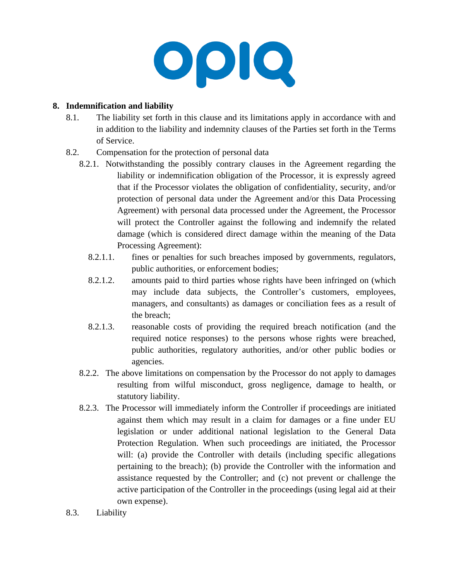

### **8. Indemnification and liability**

- 8.1. The liability set forth in this clause and its limitations apply in accordance with and in addition to the liability and indemnity clauses of the Parties set forth in the Terms of Service.
- 8.2. Compensation for the protection of personal data
	- 8.2.1. Notwithstanding the possibly contrary clauses in the Agreement regarding the liability or indemnification obligation of the Processor, it is expressly agreed that if the Processor violates the obligation of confidentiality, security, and/or protection of personal data under the Agreement and/or this Data Processing Agreement) with personal data processed under the Agreement, the Processor will protect the Controller against the following and indemnify the related damage (which is considered direct damage within the meaning of the Data Processing Agreement):
		- 8.2.1.1. fines or penalties for such breaches imposed by governments, regulators, public authorities, or enforcement bodies;
		- 8.2.1.2. amounts paid to third parties whose rights have been infringed on (which may include data subjects, the Controller's customers, employees, managers, and consultants) as damages or conciliation fees as a result of the breach;
		- 8.2.1.3. reasonable costs of providing the required breach notification (and the required notice responses) to the persons whose rights were breached, public authorities, regulatory authorities, and/or other public bodies or agencies.
	- 8.2.2. The above limitations on compensation by the Processor do not apply to damages resulting from wilful misconduct, gross negligence, damage to health, or statutory liability.
	- 8.2.3. The Processor will immediately inform the Controller if proceedings are initiated against them which may result in a claim for damages or a fine under EU legislation or under additional national legislation to the General Data Protection Regulation. When such proceedings are initiated, the Processor will: (a) provide the Controller with details (including specific allegations pertaining to the breach); (b) provide the Controller with the information and assistance requested by the Controller; and (c) not prevent or challenge the active participation of the Controller in the proceedings (using legal aid at their own expense).
- 8.3. Liability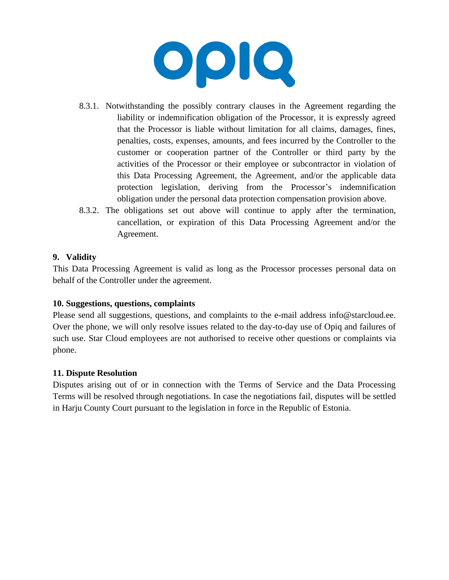

- 8.3.1. Notwithstanding the possibly contrary clauses in the Agreement regarding the liability or indemnification obligation of the Processor, it is expressly agreed that the Processor is liable without limitation for all claims, damages, fines, penalties, costs, expenses, amounts, and fees incurred by the Controller to the customer or cooperation partner of the Controller or third party by the activities of the Processor or their employee or subcontractor in violation of this Data Processing Agreement, the Agreement, and/or the applicable data protection legislation, deriving from the Processor's indemnification obligation under the personal data protection compensation provision above.
- 8.3.2. The obligations set out above will continue to apply after the termination, cancellation, or expiration of this Data Processing Agreement and/or the Agreement.

#### **9. Validity**

This Data Processing Agreement is valid as long as the Processor processes personal data on behalf of the Controller under the agreement.

#### **10. Suggestions, questions, complaints**

Please send all suggestions, questions, and complaints to the e-mail address info@starcloud.ee. Over the phone, we will only resolve issues related to the day-to-day use of Opiq and failures of such use. Star Cloud employees are not authorised to receive other questions or complaints via phone.

#### **11. Dispute Resolution**

Disputes arising out of or in connection with the Terms of Service and the Data Processing Terms will be resolved through negotiations. In case the negotiations fail, disputes will be settled in Harju County Court pursuant to the legislation in force in the Republic of Estonia.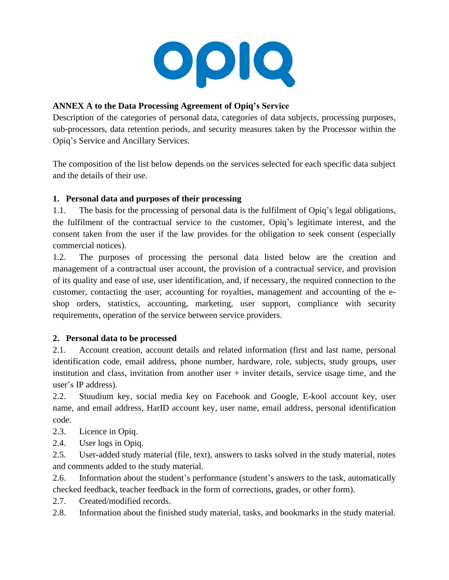

## **ANNEX A to the Data Processing Agreement of Opiq's Service**

Description of the categories of personal data, categories of data subjects, processing purposes, sub-processors, data retention periods, and security measures taken by the Processor within the Opiq's Service and Ancillary Services.

The composition of the list below depends on the services selected for each specific data subject and the details of their use.

## **1. Personal data and purposes of their processing**

1.1. The basis for the processing of personal data is the fulfilment of Opiq's legal obligations, the fulfilment of the contractual service to the customer, Opiq's legitimate interest, and the consent taken from the user if the law provides for the obligation to seek consent (especially commercial notices).

1.2. The purposes of processing the personal data listed below are the creation and management of a contractual user account, the provision of a contractual service, and provision of its quality and ease of use, user identification, and, if necessary, the required connection to the customer, contacting the user, accounting for royalties, management and accounting of the eshop orders, statistics, accounting, marketing, user support, compliance with security requirements, operation of the service between service providers.

#### **2. Personal data to be processed**

2.1. Account creation, account details and related information (first and last name, personal identification code, email address, phone number, hardware, role, subjects, study groups, user institution and class, invitation from another user + inviter details, service usage time, and the user's IP address).

2.2. Stuudium key, social media key on Facebook and Google, E-kool account key, user name, and email address, HarID account key, user name, email address, personal identification code.

- 2.3. Licence in Opiq.
- 2.4. User logs in Opiq.

2.5. User-added study material (file, text), answers to tasks solved in the study material, notes and comments added to the study material.

2.6. Information about the student's performance (student's answers to the task, automatically checked feedback, teacher feedback in the form of corrections, grades, or other form).

2.7. Created/modified records.

2.8. Information about the finished study material, tasks, and bookmarks in the study material.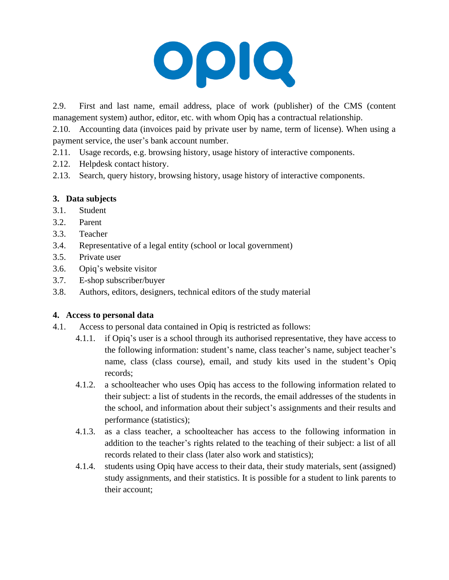

2.9. First and last name, email address, place of work (publisher) of the CMS (content management system) author, editor, etc. with whom Opiq has a contractual relationship.

2.10. Accounting data (invoices paid by private user by name, term of license). When using a payment service, the user's bank account number.

- 2.11. Usage records, e.g. browsing history, usage history of interactive components.
- 2.12. Helpdesk contact history.
- 2.13. Search, query history, browsing history, usage history of interactive components.

### **3. Data subjects**

- 3.1. Student
- 3.2. Parent
- 3.3. Teacher
- 3.4. Representative of a legal entity (school or local government)
- 3.5. Private user
- 3.6. Opiq's website visitor
- 3.7. E-shop subscriber/buyer
- 3.8. Authors, editors, designers, technical editors of the study material

#### **4. Access to personal data**

- 4.1. Access to personal data contained in Opiq is restricted as follows:
	- 4.1.1. if Opiq's user is a school through its authorised representative, they have access to the following information: student's name, class teacher's name, subject teacher's name, class (class course), email, and study kits used in the student's Opiq records;
	- 4.1.2. a schoolteacher who uses Opiq has access to the following information related to their subject: a list of students in the records, the email addresses of the students in the school, and information about their subject's assignments and their results and performance (statistics);
	- 4.1.3. as a class teacher, a schoolteacher has access to the following information in addition to the teacher's rights related to the teaching of their subject: a list of all records related to their class (later also work and statistics);
	- 4.1.4. students using Opiq have access to their data, their study materials, sent (assigned) study assignments, and their statistics. It is possible for a student to link parents to their account;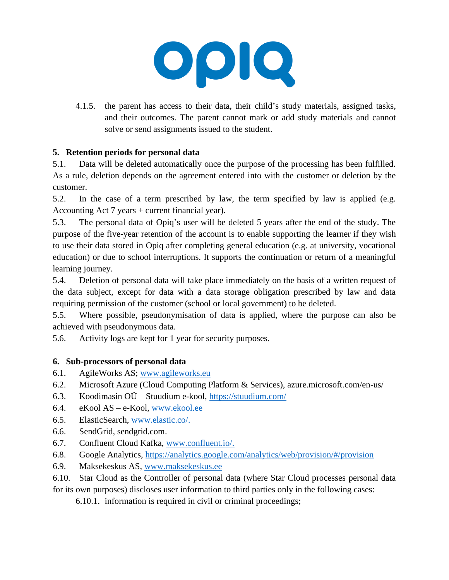0010

4.1.5. the parent has access to their data, their child's study materials, assigned tasks, and their outcomes. The parent cannot mark or add study materials and cannot solve or send assignments issued to the student.

## **5. Retention periods for personal data**

5.1. Data will be deleted automatically once the purpose of the processing has been fulfilled. As a rule, deletion depends on the agreement entered into with the customer or deletion by the customer.

5.2. In the case of a term prescribed by law, the term specified by law is applied (e.g. Accounting Act 7 years + current financial year).

5.3. The personal data of Opiq's user will be deleted 5 years after the end of the study. The purpose of the five-year retention of the account is to enable supporting the learner if they wish to use their data stored in Opiq after completing general education (e.g. at university, vocational education) or due to school interruptions. It supports the continuation or return of a meaningful learning journey.

5.4. Deletion of personal data will take place immediately on the basis of a written request of the data subject, except for data with a data storage obligation prescribed by law and data requiring permission of the customer (school or local government) to be deleted.

5.5. Where possible, pseudonymisation of data is applied, where the purpose can also be achieved with pseudonymous data.

5.6. Activity logs are kept for 1 year for security purposes.

## **6. Sub-processors of personal data**

- 6.1. AgileWorks AS; [www.agileworks.eu](http://www.agileworks.eu/)
- 6.2. Microsoft Azure (Cloud Computing Platform & Services), azure.microsoft.com/en-us/
- 6.3. Koodimasin OÜ Stuudium e-kool,<https://stuudium.com/>
- 6.4. eKool AS e-Kool, [www.ekool.ee](http://www.ekool.ee/)
- 6.5. ElasticSearch, [www.elastic.co/.](http://www.elastic.co/)
- 6.6. SendGrid, sendgrid.com.
- 6.7. Confluent Cloud Kafka, [www.confluent.io/.](http://www.confluent.io/)
- 6.8. Google Analytics,<https://analytics.google.com/analytics/web/provision/#/provision>
- 6.9. Maksekeskus AS, [www.maksekeskus.ee](http://www.maksekeskus.ee/)

6.10. Star Cloud as the Controller of personal data (where Star Cloud processes personal data for its own purposes) discloses user information to third parties only in the following cases:

6.10.1. information is required in civil or criminal proceedings;